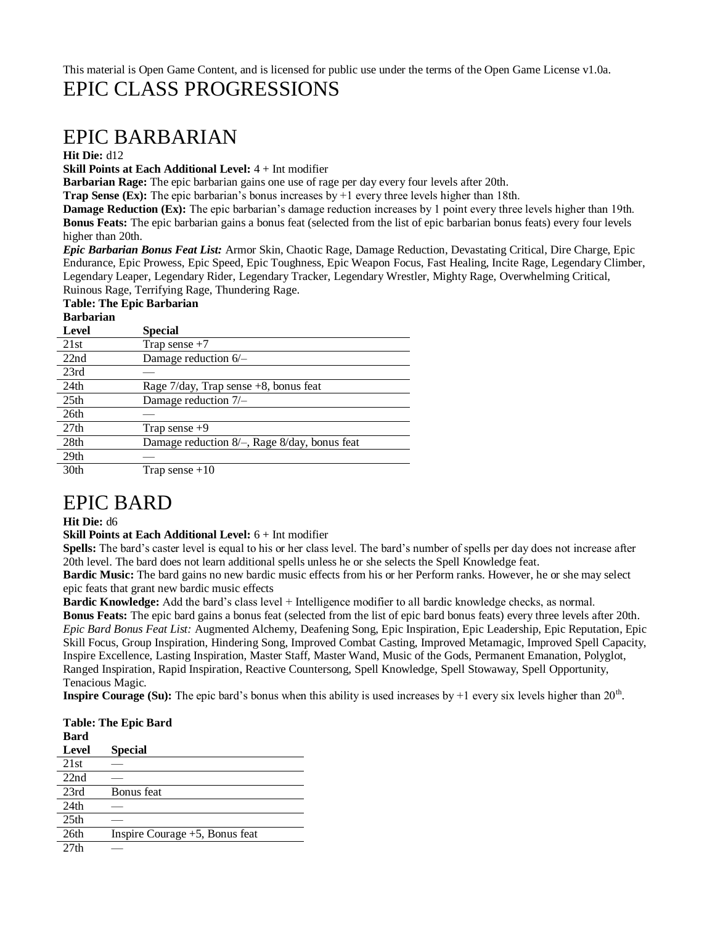## This material is Open Game Content, and is licensed for public use under the terms of the Open Game License v1.0a. EPIC CLASS PROGRESSIONS

# EPIC BARBARIAN

### **Hit Die:** d12

**Skill Points at Each Additional Level:** 4 + Int modifier

**Barbarian Rage:** The epic barbarian gains one use of rage per day every four levels after 20th.

**Trap Sense (Ex):** The epic barbarian's bonus increases by +1 every three levels higher than 18th.

**Damage Reduction (Ex):** The epic barbarian's damage reduction increases by 1 point every three levels higher than 19th. **Bonus Feats:** The epic barbarian gains a bonus feat (selected from the list of epic barbarian bonus feats) every four levels higher than 20th.

*Epic Barbarian Bonus Feat List:* Armor Skin, Chaotic Rage, Damage Reduction, Devastating Critical, Dire Charge, Epic Endurance, Epic Prowess, Epic Speed, Epic Toughness, Epic Weapon Focus, Fast Healing, Incite Rage, Legendary Climber, Legendary Leaper, Legendary Rider, Legendary Tracker, Legendary Wrestler, Mighty Rage, Overwhelming Critical, Ruinous Rage, Terrifying Rage, Thundering Rage.

## **Table: The Epic Barbarian**

### **Barbarian Level Special**

| эресіаі                                            |
|----------------------------------------------------|
| Trap sense $+7$                                    |
| Damage reduction $6/-$                             |
|                                                    |
| Rage $7$ /day, Trap sense $+8$ , bonus feat        |
| Damage reduction 7/-                               |
|                                                    |
| Trap sense $+9$                                    |
| Damage reduction $8/-$ , Rage $8/day$ , bonus feat |
|                                                    |
| Trap sense $+10$                                   |
|                                                    |

# EPIC BARD

### **Hit Die:** d6

**Skill Points at Each Additional Level:** 6 + Int modifier

**Spells:** The bard's caster level is equal to his or her class level. The bard's number of spells per day does not increase after 20th level. The bard does not learn additional spells unless he or she selects the Spell Knowledge feat.

**Bardic Music:** The bard gains no new bardic music effects from his or her Perform ranks. However, he or she may select epic feats that grant new bardic music effects

**Bardic Knowledge:** Add the bard's class level + Intelligence modifier to all bardic knowledge checks, as normal.

**Bonus Feats:** The epic bard gains a bonus feat (selected from the list of epic bard bonus feats) every three levels after 20th. *Epic Bard Bonus Feat List:* Augmented Alchemy, Deafening Song, Epic Inspiration, Epic Leadership, Epic Reputation, Epic Skill Focus, Group Inspiration, Hindering Song, Improved Combat Casting, Improved Metamagic, Improved Spell Capacity, Inspire Excellence, Lasting Inspiration, Master Staff, Master Wand, Music of the Gods, Permanent Emanation, Polyglot, Ranged Inspiration, Rapid Inspiration, Reactive Countersong, Spell Knowledge, Spell Stowaway, Spell Opportunity, Tenacious Magic.

**Inspire Courage (Su):** The epic bard's bonus when this ability is used increases by  $+1$  every six levels higher than  $20<sup>th</sup>$ .

| <b>Table: The Epic Bard</b> |                                   |  |
|-----------------------------|-----------------------------------|--|
| Bard                        |                                   |  |
| Level                       | <b>Special</b>                    |  |
| 21st                        |                                   |  |
| 22nd                        |                                   |  |
| 23rd                        | Bonus feat                        |  |
| 24th                        |                                   |  |
| 25 <sub>th</sub>            |                                   |  |
| 26th                        | Inspire Courage $+5$ , Bonus feat |  |
| 27th                        |                                   |  |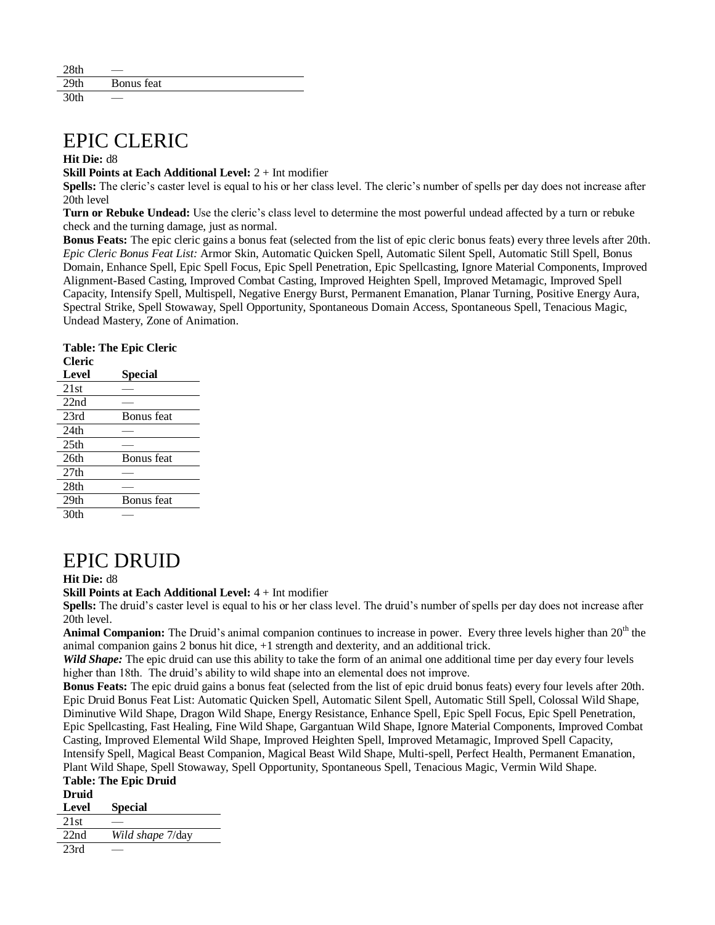| 28th             |            |  |
|------------------|------------|--|
| 29 <sub>th</sub> | Bonus feat |  |
| 20th             |            |  |

# EPIC CLERIC

#### **Hit Die:** d8

**Skill Points at Each Additional Level:** 2 + Int modifier

**Spells:** The cleric's caster level is equal to his or her class level. The cleric's number of spells per day does not increase after 20th level

**Turn or Rebuke Undead:** Use the cleric's class level to determine the most powerful undead affected by a turn or rebuke check and the turning damage, just as normal.

**Bonus Feats:** The epic cleric gains a bonus feat (selected from the list of epic cleric bonus feats) every three levels after 20th. *Epic Cleric Bonus Feat List:* Armor Skin, Automatic Quicken Spell, Automatic Silent Spell, Automatic Still Spell, Bonus Domain, Enhance Spell, Epic Spell Focus, Epic Spell Penetration, Epic Spellcasting, Ignore Material Components, Improved Alignment-Based Casting, Improved Combat Casting, Improved Heighten Spell, Improved Metamagic, Improved Spell Capacity, Intensify Spell, Multispell, Negative Energy Burst, Permanent Emanation, Planar Turning, Positive Energy Aura, Spectral Strike, Spell Stowaway, Spell Opportunity, Spontaneous Domain Access, Spontaneous Spell, Tenacious Magic, Undead Mastery, Zone of Animation.

**Table: The Epic Cleric** 

| Cleric           |                   |
|------------------|-------------------|
| Level            | Special           |
| 21st             |                   |
| 22nd             |                   |
| 23rd             | Bonus feat        |
| 24th             |                   |
| 25 <sub>th</sub> |                   |
| 26th             | Bonus feat        |
| 27th             |                   |
| 28th             |                   |
| 29 <sub>th</sub> | <b>Bonus</b> feat |
| 30th             |                   |

## EPIC DRUID

### **Hit Die:** d8

**Skill Points at Each Additional Level:** 4 + Int modifier

**Spells:** The druid's caster level is equal to his or her class level. The druid's number of spells per day does not increase after 20th level.

Animal Companion: The Druid's animal companion continues to increase in power. Every three levels higher than 20<sup>th</sup> the animal companion gains 2 bonus hit dice, +1 strength and dexterity, and an additional trick.

*Wild Shape:* The epic druid can use this ability to take the form of an animal one additional time per day every four levels higher than 18th. The druid's ability to wild shape into an elemental does not improve.

**Bonus Feats:** The epic druid gains a bonus feat (selected from the list of epic druid bonus feats) every four levels after 20th. Epic Druid Bonus Feat List: Automatic Quicken Spell, Automatic Silent Spell, Automatic Still Spell, Colossal Wild Shape, Diminutive Wild Shape, Dragon Wild Shape, Energy Resistance, Enhance Spell, Epic Spell Focus, Epic Spell Penetration, Epic Spellcasting, Fast Healing, Fine Wild Shape, Gargantuan Wild Shape, Ignore Material Components, Improved Combat Casting, Improved Elemental Wild Shape, Improved Heighten Spell, Improved Metamagic, Improved Spell Capacity, Intensify Spell, Magical Beast Companion, Magical Beast Wild Shape, Multi-spell, Perfect Health, Permanent Emanation, Plant Wild Shape, Spell Stowaway, Spell Opportunity, Spontaneous Spell, Tenacious Magic, Vermin Wild Shape.

## **Table: The Epic Druid Druid Level Special**   $\overline{21st}$ 22nd *Wild shape* 7/day

 $23rd$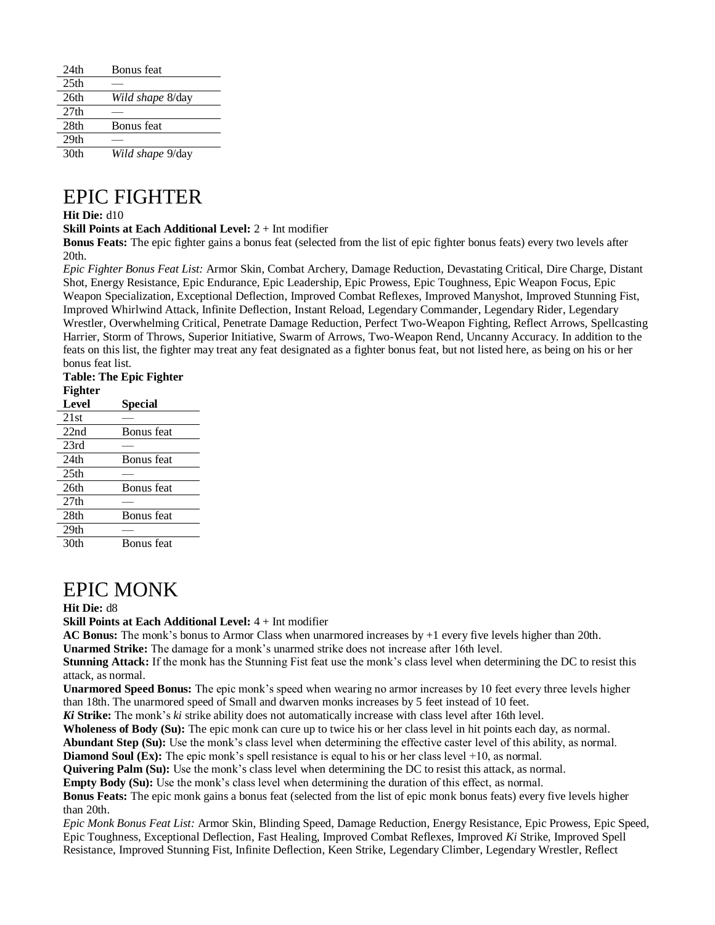| 24th             | Bonus feat              |
|------------------|-------------------------|
| 25 <sub>th</sub> |                         |
| 26th             | <i>Wild shape</i> 8/day |
| 27 <sub>th</sub> |                         |
| 28 <sub>th</sub> | <b>Bonus</b> feat       |
| 29 <sub>th</sub> |                         |
| 30th             | Wild shape 9/day        |

# EPIC FIGHTER

### **Hit Die:** d10

**Skill Points at Each Additional Level:** 2 + Int modifier

**Bonus Feats:** The epic fighter gains a bonus feat (selected from the list of epic fighter bonus feats) every two levels after 20th.

*Epic Fighter Bonus Feat List:* Armor Skin, Combat Archery, Damage Reduction, Devastating Critical, Dire Charge, Distant Shot, Energy Resistance, Epic Endurance, Epic Leadership, Epic Prowess, Epic Toughness, Epic Weapon Focus, Epic Weapon Specialization, Exceptional Deflection, Improved Combat Reflexes, Improved Manyshot, Improved Stunning Fist, Improved Whirlwind Attack, Infinite Deflection, Instant Reload, Legendary Commander, Legendary Rider, Legendary Wrestler, Overwhelming Critical, Penetrate Damage Reduction, Perfect Two-Weapon Fighting, Reflect Arrows, Spellcasting Harrier, Storm of Throws, Superior Initiative, Swarm of Arrows, Two-Weapon Rend, Uncanny Accuracy. In addition to the feats on this list, the fighter may treat any feat designated as a fighter bonus feat, but not listed here, as being on his or her bonus feat list.

| <b>Table: The Epic Fighter</b> |            |  |
|--------------------------------|------------|--|
| <b>Fighter</b>                 |            |  |
| <b>Level</b>                   | Special    |  |
| 21st                           |            |  |
| 22nd                           | Bonus feat |  |
| 23rd                           |            |  |
| 24th                           | Bonus feat |  |
| 25 <sub>th</sub>               |            |  |
| 26th                           | Bonus feat |  |
| 27 <sub>th</sub>               |            |  |
| 28th                           | Bonus feat |  |
| 29 <sub>th</sub>               |            |  |
| 30th                           | Bonus feat |  |
|                                |            |  |

# EPIC MONK

#### **Hit Die:** d8

**Skill Points at Each Additional Level:** 4 + Int modifier

**AC Bonus:** The monk's bonus to Armor Class when unarmored increases by +1 every five levels higher than 20th.

**Unarmed Strike:** The damage for a monk's unarmed strike does not increase after 16th level. **Stunning Attack:** If the monk has the Stunning Fist feat use the monk's class level when determining the DC to resist this attack, as normal.

**Unarmored Speed Bonus:** The epic monk's speed when wearing no armor increases by 10 feet every three levels higher than 18th. The unarmored speed of Small and dwarven monks increases by 5 feet instead of 10 feet.

*Ki* **Strike:** The monk's *ki* strike ability does not automatically increase with class level after 16th level.

**Wholeness of Body (Su):** The epic monk can cure up to twice his or her class level in hit points each day, as normal.

**Abundant Step (Su):** Use the monk's class level when determining the effective caster level of this ability, as normal.

**Diamond Soul (Ex):** The epic monk's spell resistance is equal to his or her class level +10, as normal.

**Quivering Palm (Su):** Use the monk's class level when determining the DC to resist this attack, as normal.

**Empty Body (Su):** Use the monk's class level when determining the duration of this effect, as normal.

**Bonus Feats:** The epic monk gains a bonus feat (selected from the list of epic monk bonus feats) every five levels higher than 20th.

*Epic Monk Bonus Feat List:* Armor Skin, Blinding Speed, Damage Reduction, Energy Resistance, Epic Prowess, Epic Speed, Epic Toughness, Exceptional Deflection, Fast Healing, Improved Combat Reflexes, Improved *Ki* Strike, Improved Spell Resistance, Improved Stunning Fist, Infinite Deflection, Keen Strike, Legendary Climber, Legendary Wrestler, Reflect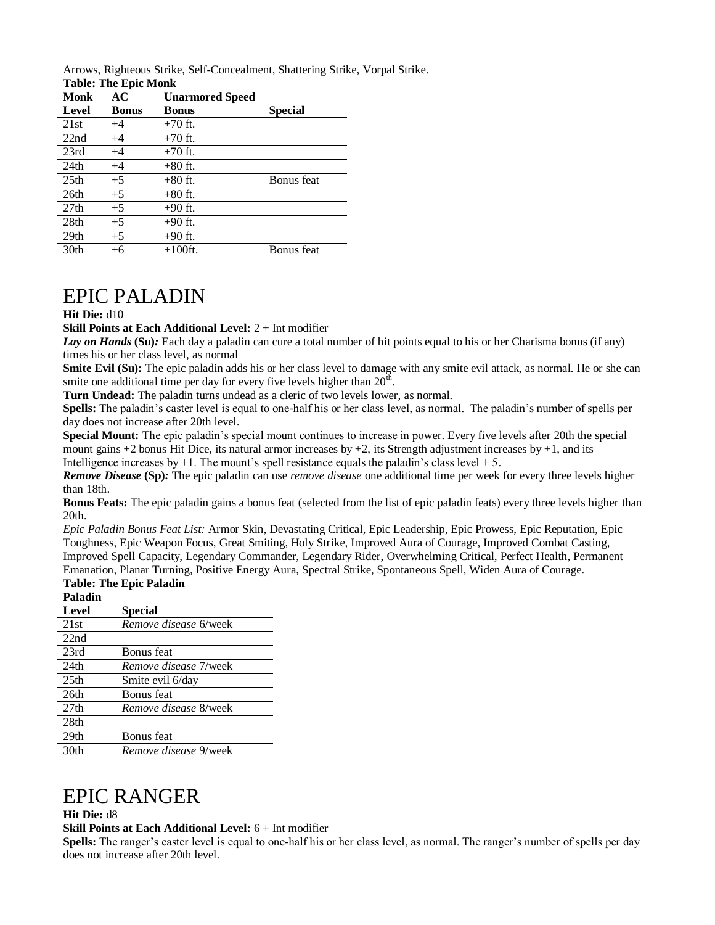Arrows, Righteous Strike, Self-Concealment, Shattering Strike, Vorpal Strike.

| <b>Table: The Epic Monk</b> |              |                        |                |
|-----------------------------|--------------|------------------------|----------------|
| Monk                        | AC           | <b>Unarmored Speed</b> |                |
| Level                       | <b>Bonus</b> | <b>Bonus</b>           | <b>Special</b> |
| 21st                        | $+4$         | $+70$ ft.              |                |
| 22nd                        | $+4$         | $+70$ ft.              |                |
| 23rd                        | $+4$         | $+70$ ft.              |                |
| 24th                        | $+4$         | $+80$ ft.              |                |
| 25 <sub>th</sub>            | $+5$         | $+80$ ft.              | Bonus feat     |
| 26th                        | $+5$         | $+80$ ft.              |                |
| 27 <sub>th</sub>            | $+5$         | $+90$ ft.              |                |
| 28th                        | $+5$         | $+90$ ft.              |                |
| 29 <sub>th</sub>            | $+5$         | $+90$ ft.              |                |
| 30th                        | $+6$         | $+100$ ft.             | Bonus feat     |

## EPIC PALADIN

### **Hit Die:** d10

**Skill Points at Each Additional Level:** 2 + Int modifier

*Lay on Hands* **(Su)***:* Each day a paladin can cure a total number of hit points equal to his or her Charisma bonus (if any) times his or her class level, as normal

**Smite Evil (Su):** The epic paladin adds his or her class level to damage with any smite evil attack, as normal. He or she can smite one additional time per day for every five levels higher than  $20^{\text{th}}$ .

**Turn Undead:** The paladin turns undead as a cleric of two levels lower, as normal.

**Spells:** The paladin's caster level is equal to one-half his or her class level, as normal. The paladin's number of spells per day does not increase after 20th level.

**Special Mount:** The epic paladin's special mount continues to increase in power. Every five levels after 20th the special mount gains  $+2$  bonus Hit Dice, its natural armor increases by  $+2$ , its Strength adjustment increases by  $+1$ , and its Intelligence increases by  $+1$ . The mount's spell resistance equals the paladin's class level  $+5$ .

*Remove Disease* **(Sp)***:* The epic paladin can use *remove disease* one additional time per week for every three levels higher than 18th.

**Bonus Feats:** The epic paladin gains a bonus feat (selected from the list of epic paladin feats) every three levels higher than 20th.

*Epic Paladin Bonus Feat List:* Armor Skin, Devastating Critical, Epic Leadership, Epic Prowess, Epic Reputation, Epic Toughness, Epic Weapon Focus, Great Smiting, Holy Strike, Improved Aura of Courage, Improved Combat Casting, Improved Spell Capacity, Legendary Commander, Legendary Rider, Overwhelming Critical, Perfect Health, Permanent Emanation, Planar Turning, Positive Energy Aura, Spectral Strike, Spontaneous Spell, Widen Aura of Courage.

### **Table: The Epic Paladin**

| Paladin          |                              |
|------------------|------------------------------|
| Level            | <b>Special</b>               |
| 21st             | Remove disease 6/week        |
| 22nd             |                              |
| 23rd             | Bonus feat                   |
| 24 <sub>th</sub> | <i>Remove disease 7/week</i> |
| 25 <sub>th</sub> | Smite evil 6/day             |
| 26th             | Bonus feat                   |
| 27 <sub>th</sub> | Remove disease 8/week        |
| 28th             |                              |
| 29 <sub>th</sub> | <b>Bonus</b> feat            |
| 30th             | <i>Remove disease</i> 9/week |

## EPIC RANGER

#### **Hit Die:** d8

**Skill Points at Each Additional Level:** 6 + Int modifier

**Spells:** The ranger's caster level is equal to one-half his or her class level, as normal. The ranger's number of spells per day does not increase after 20th level.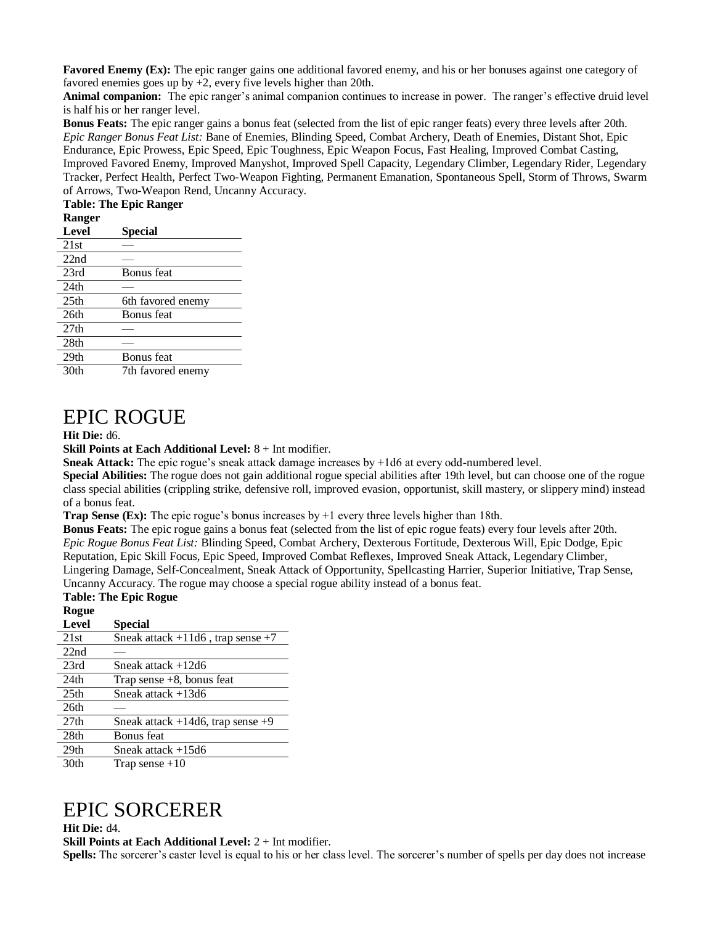**Favored Enemy (Ex):** The epic ranger gains one additional favored enemy, and his or her bonuses against one category of favored enemies goes up by +2, every five levels higher than 20th.

**Animal companion:** The epic ranger's animal companion continues to increase in power. The ranger's effective druid level is half his or her ranger level.

**Bonus Feats:** The epic ranger gains a bonus feat (selected from the list of epic ranger feats) every three levels after 20th. *Epic Ranger Bonus Feat List:* Bane of Enemies, Blinding Speed, Combat Archery, Death of Enemies, Distant Shot, Epic Endurance, Epic Prowess, Epic Speed, Epic Toughness, Epic Weapon Focus, Fast Healing, Improved Combat Casting, Improved Favored Enemy, Improved Manyshot, Improved Spell Capacity, Legendary Climber, Legendary Rider, Legendary Tracker, Perfect Health, Perfect Two-Weapon Fighting, Permanent Emanation, Spontaneous Spell, Storm of Throws, Swarm of Arrows, Two-Weapon Rend, Uncanny Accuracy.

### **Table: The Epic Ranger**

| $\cdots$         |                   |
|------------------|-------------------|
| Level            | Special           |
| 21st             |                   |
| 22nd             |                   |
| 23rd             | Bonus feat        |
| 24 <sub>th</sub> |                   |
| 25 <sub>th</sub> | 6th favored enemy |
| 26th             | Bonus feat        |
| 27 <sub>th</sub> |                   |
| 28th             |                   |
| 29 <sub>th</sub> | Bonus feat        |
| 30 <sub>th</sub> | 7th favored enemy |
|                  |                   |

# EPIC ROGUE

#### **Hit Die:** d6.

**Skill Points at Each Additional Level:** 8 + Int modifier.

**Sneak Attack:** The epic rogue's sneak attack damage increases by +1d6 at every odd-numbered level.

**Special Abilities:** The rogue does not gain additional rogue special abilities after 19th level, but can choose one of the rogue class special abilities (crippling strike, defensive roll, improved evasion, opportunist, skill mastery, or slippery mind) instead of a bonus feat.

**Trap Sense (Ex):** The epic rogue's bonus increases by  $+1$  every three levels higher than 18th.

**Bonus Feats:** The epic rogue gains a bonus feat (selected from the list of epic rogue feats) every four levels after 20th. *Epic Rogue Bonus Feat List:* Blinding Speed, Combat Archery, Dexterous Fortitude, Dexterous Will, Epic Dodge, Epic Reputation, Epic Skill Focus, Epic Speed, Improved Combat Reflexes, Improved Sneak Attack, Legendary Climber, Lingering Damage, Self-Concealment, Sneak Attack of Opportunity, Spellcasting Harrier, Superior Initiative, Trap Sense, Uncanny Accuracy. The rogue may choose a special rogue ability instead of a bonus feat.

## **Table: The Epic Rogue**

## **Rogue Level Special**  21st Sneak attack  $+11d6$ , trap sense  $+7$  $\frac{22nd}{23rd}$ Sneak attack  $+12d6$  $24th$  Trap sense  $+8$ , bonus feat 25th Sneak attack +13d6 26th —  $27th$  Sneak attack  $+14d6$ , trap sense  $+9$ 28th Bonus feat 29th Sneak attack +15d6  $30th$  Trap sense  $+10$

# EPIC SORCERER

**Hit Die:** d4.

**Skill Points at Each Additional Level:** 2 + Int modifier.

**Spells:** The sorcerer's caster level is equal to his or her class level. The sorcerer's number of spells per day does not increase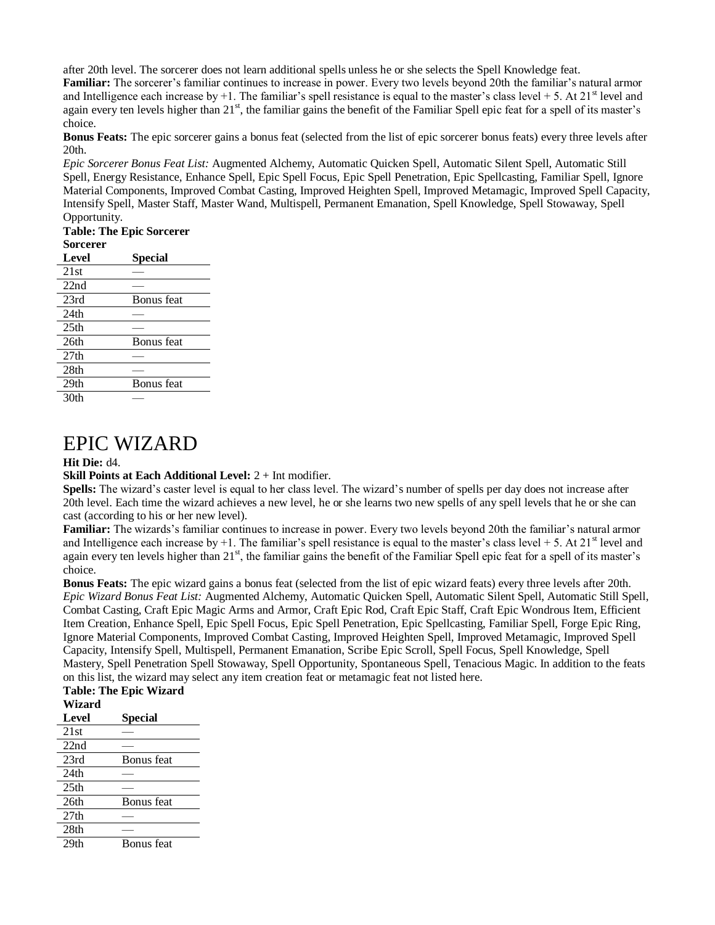after 20th level. The sorcerer does not learn additional spells unless he or she selects the Spell Knowledge feat.

**Familiar:** The sorcerer's familiar continues to increase in power. Every two levels beyond 20th the familiar's natural armor and Intelligence each increase by  $+1$ . The familiar's spell resistance is equal to the master's class level  $+ 5$ . At  $21<sup>st</sup>$  level and again every ten levels higher than 21<sup>st</sup>, the familiar gains the benefit of the Familiar Spell epic feat for a spell of its master's choice.

**Bonus Feats:** The epic sorcerer gains a bonus feat (selected from the list of epic sorcerer bonus feats) every three levels after 20th.

*Epic Sorcerer Bonus Feat List:* Augmented Alchemy, Automatic Quicken Spell, Automatic Silent Spell, Automatic Still Spell, Energy Resistance, Enhance Spell, Epic Spell Focus, Epic Spell Penetration, Epic Spellcasting, Familiar Spell, Ignore Material Components, Improved Combat Casting, Improved Heighten Spell, Improved Metamagic, Improved Spell Capacity, Intensify Spell, Master Staff, Master Wand, Multispell, Permanent Emanation, Spell Knowledge, Spell Stowaway, Spell Opportunity.

## **Table: The Epic Sorcerer Sorcerer**

| Level            | Special    |
|------------------|------------|
| 21st             |            |
| 22nd             |            |
| 23rd             | Bonus feat |
| 24th             |            |
| 25 <sub>th</sub> |            |
| 26th             | Bonus feat |
| 27th             |            |
| 28th             |            |
| 29 <sub>th</sub> | Bonus feat |
| 30th             |            |
|                  |            |

## EPIC WIZARD

### **Hit Die:** d4.

### **Skill Points at Each Additional Level:** 2 + Int modifier.

**Spells:** The wizard's caster level is equal to her class level. The wizard's number of spells per day does not increase after 20th level. Each time the wizard achieves a new level, he or she learns two new spells of any spell levels that he or she can cast (according to his or her new level).

**Familiar:** The wizards's familiar continues to increase in power. Every two levels beyond 20th the familiar's natural armor and Intelligence each increase by +1. The familiar's spell resistance is equal to the master's class level + 5. At  $21<sup>st</sup>$  level and again every ten levels higher than 21<sup>st</sup>, the familiar gains the benefit of the Familiar Spell epic feat for a spell of its master's choice.

**Bonus Feats:** The epic wizard gains a bonus feat (selected from the list of epic wizard feats) every three levels after 20th. *Epic Wizard Bonus Feat List:* Augmented Alchemy, Automatic Quicken Spell, Automatic Silent Spell, Automatic Still Spell, Combat Casting, Craft Epic Magic Arms and Armor, Craft Epic Rod, Craft Epic Staff, Craft Epic Wondrous Item, Efficient Item Creation, Enhance Spell, Epic Spell Focus, Epic Spell Penetration, Epic Spellcasting, Familiar Spell, Forge Epic Ring, Ignore Material Components, Improved Combat Casting, Improved Heighten Spell, Improved Metamagic, Improved Spell Capacity, Intensify Spell, Multispell, Permanent Emanation, Scribe Epic Scroll, Spell Focus, Spell Knowledge, Spell Mastery, Spell Penetration Spell Stowaway, Spell Opportunity, Spontaneous Spell, Tenacious Magic. In addition to the feats on this list, the wizard may select any item creation feat or metamagic feat not listed here.

### **Table: The Epic Wizard Wizard Level Special**   $21st$  $22nd$ 23rd Bonus feat 24th —  $25th$ 26th Bonus feat  $27th$  — 28th — 29th Bonus feat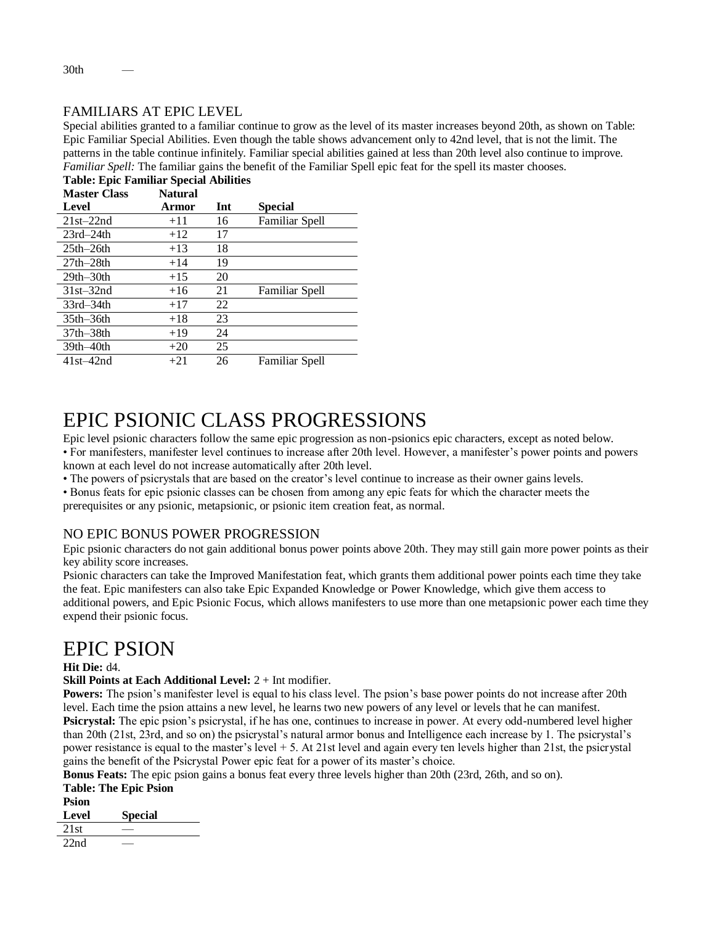## FAMILIARS AT EPIC LEVEL

Special abilities granted to a familiar continue to grow as the level of its master increases beyond 20th, as shown on Table: Epic Familiar Special Abilities. Even though the table shows advancement only to 42nd level, that is not the limit. The patterns in the table continue infinitely. Familiar special abilities gained at less than 20th level also continue to improve. *Familiar Spell:* The familiar gains the benefit of the Familiar Spell epic feat for the spell its master chooses. **Table: Epic Familiar Special Abilities**

| Table: Epic Fallmar Special Abilities |                |     |                |
|---------------------------------------|----------------|-----|----------------|
| <b>Master Class</b>                   | <b>Natural</b> |     |                |
| Level                                 | Armor          | Int | <b>Special</b> |
| $21st-22nd$                           | $+11$          | 16  | Familiar Spell |
| $23rd - 24th$                         | $+12$          | 17  |                |
| $25th-26th$                           | $+13$          | 18  |                |
| $27th-28th$                           | $+14$          | 19  |                |
| $29th-30th$                           | $+15$          | 20  |                |
| $31st - 32nd$                         | $+16$          | 21  | Familiar Spell |
| $33rd - 34th$                         | $+17$          | 22  |                |
| $35th-36th$                           | $+18$          | 23  |                |
| $37th - 38th$                         | $+19$          | 24  |                |
| $39th-40th$                           | $+20$          | 25  |                |
| $41st - 42nd$                         | $+21$          | 26  | Familiar Spell |
|                                       |                |     |                |

# EPIC PSIONIC CLASS PROGRESSIONS

Epic level psionic characters follow the same epic progression as non-psionics epic characters, except as noted below.

• For manifesters, manifester level continues to increase after 20th level. However, a manifester's power points and powers known at each level do not increase automatically after 20th level.

• The powers of psicrystals that are based on the creator's level continue to increase as their owner gains levels.

• Bonus feats for epic psionic classes can be chosen from among any epic feats for which the character meets the

prerequisites or any psionic, metapsionic, or psionic item creation feat, as normal.

## NO EPIC BONUS POWER PROGRESSION

Epic psionic characters do not gain additional bonus power points above 20th. They may still gain more power points as their key ability score increases.

Psionic characters can take the Improved Manifestation feat, which grants them additional power points each time they take the feat. Epic manifesters can also take Epic Expanded Knowledge or Power Knowledge, which give them access to additional powers, and Epic Psionic Focus, which allows manifesters to use more than one metapsionic power each time they expend their psionic focus.

# EPIC PSION

### **Hit Die:** d4.

**Skill Points at Each Additional Level:** 2 + Int modifier.

**Powers:** The psion's manifester level is equal to his class level. The psion's base power points do not increase after 20th level. Each time the psion attains a new level, he learns two new powers of any level or levels that he can manifest. **Psicrystal:** The epic psion's psicrystal, if he has one, continues to increase in power. At every odd-numbered level higher than 20th (21st, 23rd, and so on) the psicrystal's natural armor bonus and Intelligence each increase by 1. The psicrystal's power resistance is equal to the master's level  $+ 5$ . At 21st level and again every ten levels higher than 21st, the psicrystal gains the benefit of the Psicrystal Power epic feat for a power of its master's choice.

**Bonus Feats:** The epic psion gains a bonus feat every three levels higher than 20th (23rd, 26th, and so on).

|                   | <b>Table: The Epic Psion</b> |
|-------------------|------------------------------|
| Psion             |                              |
| $L_{\text{eval}}$ | $S_{\text{model}}$           |

**Level Special** 

 $21st$ 

 $22nd$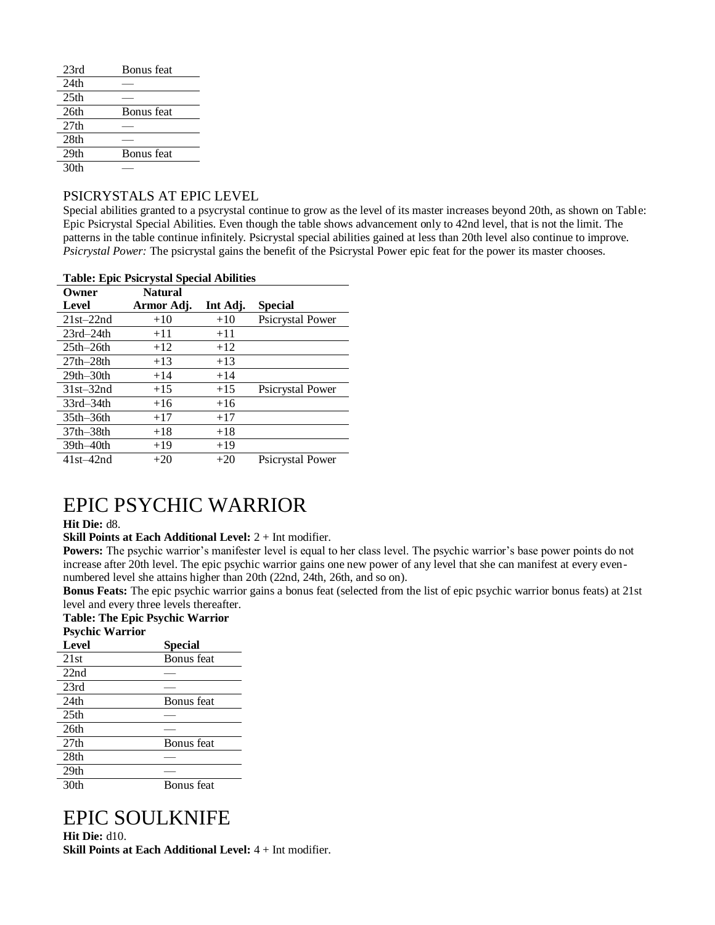| 23rd             | Bonus feat        |
|------------------|-------------------|
| 24th             |                   |
| 25 <sub>th</sub> |                   |
| 26th             | Bonus feat        |
| 27 <sub>th</sub> |                   |
| 28th             |                   |
| 29 <sub>th</sub> | <b>Bonus</b> feat |
| 30th             |                   |

## PSICRYSTALS AT EPIC LEVEL

Special abilities granted to a psycrystal continue to grow as the level of its master increases beyond 20th, as shown on Table: Epic Psicrystal Special Abilities. Even though the table shows advancement only to 42nd level, that is not the limit. The patterns in the table continue infinitely. Psicrystal special abilities gained at less than 20th level also continue to improve. *Psicrystal Power:* The psicrystal gains the benefit of the Psicrystal Power epic feat for the power its master chooses.

| <b>Table: Epic Psicrystal Special Abilities</b> |                |          |                         |  |
|-------------------------------------------------|----------------|----------|-------------------------|--|
| Owner                                           | <b>Natural</b> |          |                         |  |
| Level                                           | Armor Adj.     | Int Adj. | <b>Special</b>          |  |
| $21st-22nd$                                     | $+10$          | $+10$    | Psicrystal Power        |  |
| $23rd - 24th$                                   | $+11$          | $+11$    |                         |  |
| $25th-26th$                                     | $+12$          | $+12$    |                         |  |
| $27th-28th$                                     | $+13$          | $+13$    |                         |  |
| $29th-30th$                                     | $+14$          | $+14$    |                         |  |
| $31st - 32nd$                                   | $+15$          | $+15$    | <b>Psicrystal Power</b> |  |
| $33rd - 34th$                                   | $+16$          | $+16$    |                         |  |
| $35th-36th$                                     | $+17$          | $+17$    |                         |  |
| $37th - 38th$                                   | $+18$          | $+18$    |                         |  |
| $39th-40th$                                     | $+19$          | $+19$    |                         |  |
| $41st - 42nd$                                   | $+20$          | $+20$    | <b>Psicrystal Power</b> |  |

# EPIC PSYCHIC WARRIOR

### **Hit Die:** d8.

**Skill Points at Each Additional Level:** 2 + Int modifier.

**Powers:** The psychic warrior's manifester level is equal to her class level. The psychic warrior's base power points do not increase after 20th level. The epic psychic warrior gains one new power of any level that she can manifest at every evennumbered level she attains higher than 20th (22nd, 24th, 26th, and so on).

**Bonus Feats:** The epic psychic warrior gains a bonus feat (selected from the list of epic psychic warrior bonus feats) at 21st level and every three levels thereafter.

#### **Table: The Epic Psychic Warrior Psychic Warrior**

| <b>Special</b> |
|----------------|
| Bonus feat     |
|                |
|                |
| Bonus feat     |
|                |
|                |
| Bonus feat     |
|                |
|                |
| Bonus feat     |
|                |

# EPIC SOULKNIFE

**Hit Die:** d10. **Skill Points at Each Additional Level:** 4 + Int modifier.